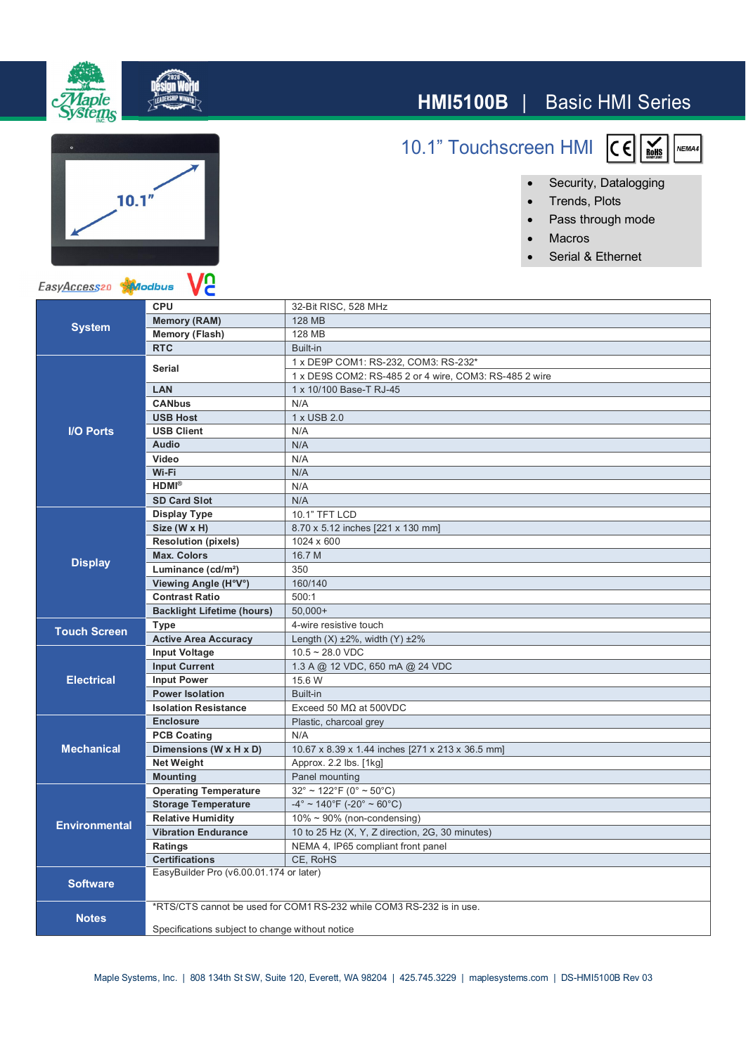

10.1" Touchscreen HMI



- Security, Datalogging
- ∂ Trends, Plots
- ∂ Pass through mode
- ∂ Macros
- ∂ Serial & Ethernet



ıΙe

| <b>System</b>        | <b>CPU</b>                                                           | 32-Bit RISC, 528 MHz                                             |
|----------------------|----------------------------------------------------------------------|------------------------------------------------------------------|
|                      | <b>Memory (RAM)</b>                                                  | 128 MB                                                           |
|                      | <b>Memory (Flash)</b>                                                | 128 MB                                                           |
|                      | <b>RTC</b>                                                           | Built-in                                                         |
| <b>I/O Ports</b>     | <b>Serial</b>                                                        | 1 x DE9P COM1: RS-232, COM3: RS-232*                             |
|                      |                                                                      | 1 x DE9S COM2: RS-485 2 or 4 wire, COM3: RS-485 2 wire           |
|                      | LAN                                                                  | 1 x 10/100 Base-T RJ-45                                          |
|                      | <b>CANbus</b>                                                        | N/A                                                              |
|                      | <b>USB Host</b>                                                      | 1 x USB 2.0                                                      |
|                      | <b>USB Client</b>                                                    | N/A                                                              |
|                      | <b>Audio</b>                                                         | N/A                                                              |
|                      | Video                                                                | N/A                                                              |
|                      | Wi-Fi                                                                | N/A                                                              |
|                      | $HDMI^{\otimes}$                                                     | N/A                                                              |
|                      | <b>SD Card Slot</b>                                                  | N/A                                                              |
| <b>Display</b>       | <b>Display Type</b>                                                  | 10.1" TFT LCD                                                    |
|                      | Size (W x H)                                                         | 8.70 x 5.12 inches [221 x 130 mm]                                |
|                      | <b>Resolution (pixels)</b>                                           | 1024 x 600                                                       |
|                      | <b>Max. Colors</b>                                                   | 16.7 M                                                           |
|                      | Luminance (cd/m <sup>2</sup> )                                       | 350                                                              |
|                      | Viewing Angle (H°V°)                                                 | 160/140                                                          |
|                      | <b>Contrast Ratio</b>                                                | 500:1                                                            |
|                      | <b>Backlight Lifetime (hours)</b>                                    | $50.000+$                                                        |
| <b>Touch Screen</b>  | Type                                                                 | 4-wire resistive touch                                           |
|                      | <b>Active Area Accuracy</b>                                          | Length $(X) \pm 2\%$ , width $(Y) \pm 2\%$                       |
| <b>Electrical</b>    | <b>Input Voltage</b>                                                 | $10.5 - 28.0$ VDC                                                |
|                      | <b>Input Current</b>                                                 | 1.3 A @ 12 VDC, 650 mA @ 24 VDC                                  |
|                      | <b>Input Power</b>                                                   | 15.6 W                                                           |
|                      | <b>Power Isolation</b>                                               | Built-in                                                         |
|                      | <b>Isolation Resistance</b>                                          | Exceed 50 $M\Omega$ at 500 VDC                                   |
| <b>Mechanical</b>    | <b>Enclosure</b>                                                     | Plastic, charcoal grey                                           |
|                      | <b>PCB Coating</b>                                                   | N/A                                                              |
|                      | Dimensions (W x H x D)                                               | 10.67 x 8.39 x 1.44 inches [271 x 213 x 36.5 mm]                 |
|                      | <b>Net Weight</b>                                                    | Approx. 2.2 lbs. [1kg]                                           |
|                      | <b>Mounting</b>                                                      | Panel mounting                                                   |
| <b>Environmental</b> | <b>Operating Temperature</b>                                         | $32^{\circ}$ ~ 122 $^{\circ}$ F (0 $^{\circ}$ ~ 50 $^{\circ}$ C) |
|                      | <b>Storage Temperature</b>                                           | $-4^{\circ}$ ~ 140°F (-20° ~ 60°C)                               |
|                      | <b>Relative Humidity</b>                                             | $10\% \sim 90\%$ (non-condensing)                                |
|                      | <b>Vibration Endurance</b>                                           | 10 to 25 Hz (X, Y, Z direction, 2G, 30 minutes)                  |
|                      | Ratings                                                              | NEMA 4, IP65 compliant front panel                               |
|                      | <b>Certifications</b>                                                | CE, RoHS                                                         |
| <b>Software</b>      | EasyBuilder Pro (v6.00.01.174 or later)                              |                                                                  |
|                      |                                                                      |                                                                  |
| <b>Notes</b>         | *RTS/CTS cannot be used for COM1 RS-232 while COM3 RS-232 is in use. |                                                                  |
|                      | Specifications subject to change without notice                      |                                                                  |